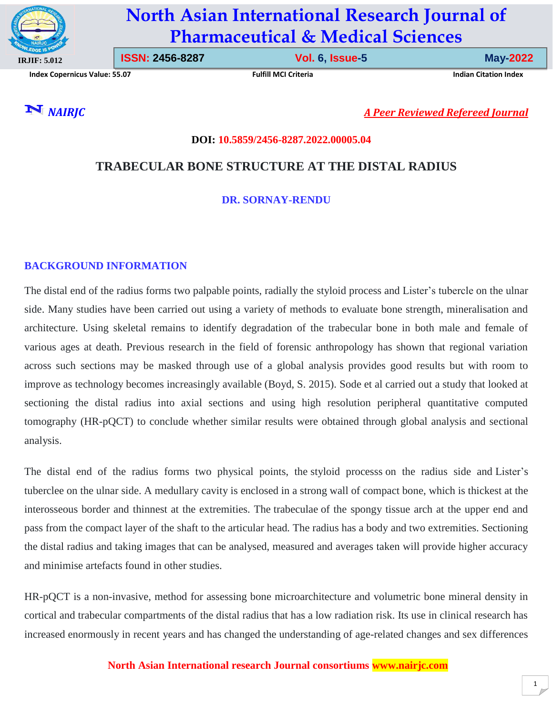

# **North Asian International Research Journal of Pharmaceutical & Medical Sciences**

**Index Copernicus Value: 55.07 Fulfill MCI Criteria Indian Citation Index**

**ISSN: 2456-8287 Vol. 6, Issue-5 May-2022**

*NAIRJC**A Peer Reviewed Refereed Journal*

# **DOI: 10.5859/2456-8287.2022.00005.04**

# **TRABECULAR BONE STRUCTURE AT THE DISTAL RADIUS**

# **DR. SORNAY-RENDU**

#### **BACKGROUND INFORMATION**

The distal end of the radius forms two palpable points, radially the styloid process and Lister's tubercle on the ulnar side. Many studies have been carried out using a variety of methods to evaluate bone strength, mineralisation and architecture. Using skeletal remains to identify degradation of the trabecular bone in both male and female of various ages at death. Previous research in the field of forensic anthropology has shown that regional variation across such sections may be masked through use of a global analysis provides good results but with room to improve as technology becomes increasingly available (Boyd, S. 2015). Sode et al carried out a study that looked at sectioning the distal radius into axial sections and using high resolution peripheral quantitative computed tomography (HR-pQCT) to conclude whether similar results were obtained through global analysis and sectional analysis.

The distal end of the radius forms two physical points, the styloid processs on the radius side and Lister's tuberclee on the ulnar side. A medullary cavity is enclosed in a strong wall of compact bone, which is thickest at the interosseous border and thinnest at the extremities. The trabeculae of the spongy tissue arch at the upper end and pass from the compact layer of the shaft to the articular head*.* The radius has a body and two extremities. Sectioning the distal radius and taking images that can be analysed, measured and averages taken will provide higher accuracy and minimise artefacts found in other studies.

HR-pQCT is a non-invasive, method for assessing bone microarchitecture and volumetric bone mineral density in cortical and trabecular compartments of the distal radius that has a low radiation risk. Its use in clinical research has increased enormously in recent years and has changed the understanding of age-related changes and sex differences

#### **North Asian International research Journal consortiums www.nairjc.com**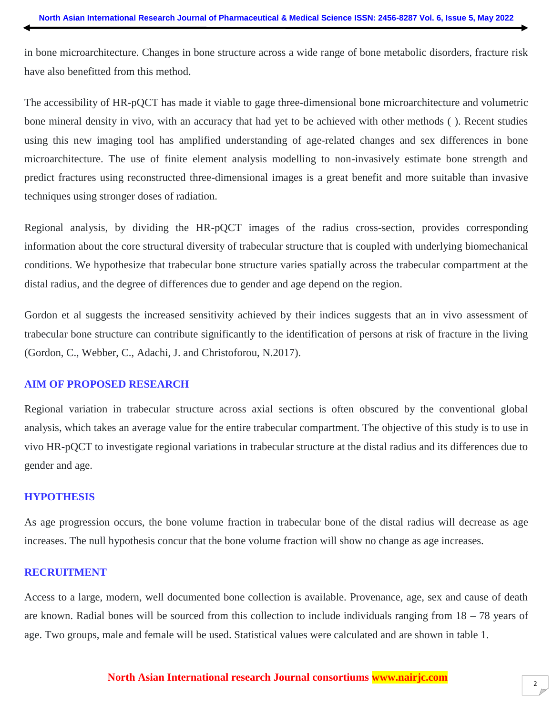in bone microarchitecture. Changes in bone structure across a wide range of bone metabolic disorders, fracture risk have also benefitted from this method.

The accessibility of HR-pQCT has made it viable to gage three-dimensional bone microarchitecture and volumetric bone mineral density in vivo, with an accuracy that had yet to be achieved with other methods ( ). Recent studies using this new imaging tool has amplified understanding of age-related changes and sex differences in bone microarchitecture. The use of finite element analysis modelling to non-invasively estimate bone strength and predict fractures using reconstructed three-dimensional images is a great benefit and more suitable than invasive techniques using stronger doses of radiation.

Regional analysis, by dividing the HR-pQCT images of the radius cross-section, provides corresponding information about the core structural diversity of trabecular structure that is coupled with underlying biomechanical conditions. We hypothesize that trabecular bone structure varies spatially across the trabecular compartment at the distal radius, and the degree of differences due to gender and age depend on the region.

Gordon et al suggests the increased sensitivity achieved by their indices suggests that an in vivo assessment of trabecular bone structure can contribute significantly to the identification of persons at risk of fracture in the living (Gordon, C., Webber, C., Adachi, J. and Christoforou, N.2017).

#### **AIM OF PROPOSED RESEARCH**

Regional variation in trabecular structure across axial sections is often obscured by the conventional global analysis, which takes an average value for the entire trabecular compartment. The objective of this study is to use in vivo HR-pQCT to investigate regional variations in trabecular structure at the distal radius and its differences due to gender and age.

#### **HYPOTHESIS**

As age progression occurs, the bone volume fraction in trabecular bone of the distal radius will decrease as age increases. The null hypothesis concur that the bone volume fraction will show no change as age increases.

### **RECRUITMENT**

Access to a large, modern, well documented bone collection is available. Provenance, age, sex and cause of death are known. Radial bones will be sourced from this collection to include individuals ranging from 18 – 78 years of age. Two groups, male and female will be used. Statistical values were calculated and are shown in table 1.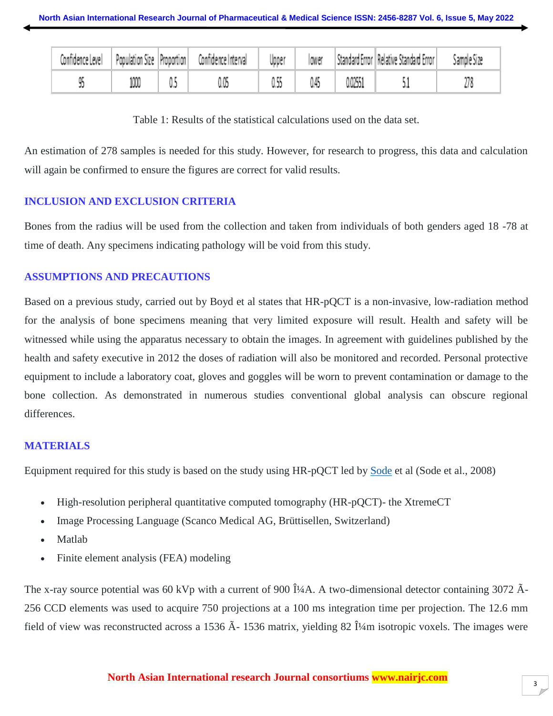| Confidence Level | Population Size Proportion | Confidence Interval | Upper | lower |         | Standard Error Relative Standard Error | Sample Size |
|------------------|----------------------------|---------------------|-------|-------|---------|----------------------------------------|-------------|
|                  |                            |                     |       |       | 0.02551 |                                        |             |

Table 1: Results of the statistical calculations used on the data set.

An estimation of 278 samples is needed for this study. However, for research to progress, this data and calculation will again be confirmed to ensure the figures are correct for valid results.

# **INCLUSION AND EXCLUSION CRITERIA**

Bones from the radius will be used from the collection and taken from individuals of both genders aged 18 -78 at time of death. Any specimens indicating pathology will be void from this study.

# **ASSUMPTIONS AND PRECAUTIONS**

Based on a previous study, carried out by Boyd et al states that HR-pQCT is a non-invasive, low-radiation method for the analysis of bone specimens meaning that very limited exposure will result. Health and safety will be witnessed while using the apparatus necessary to obtain the images. In agreement with guidelines published by the health and safety executive in 2012 the doses of radiation will also be monitored and recorded. Personal protective equipment to include a laboratory coat, gloves and goggles will be worn to prevent contamination or damage to the bone collection. As demonstrated in numerous studies conventional global analysis can obscure regional differences.

# **MATERIALS**

Equipment required for this study is based on the study using HR-pQCT led by [Sode](https://www.ncbi.nlm.nih.gov/pubmed/?term=Sode%20M%5BAuthor%5D&cauthor=true&cauthor_uid=20188877) et al (Sode et al., 2008)

- High-resolution peripheral quantitative computed tomography (HR-pQCT)- the XtremeCT
- Image Processing Language (Scanco Medical AG, Brüttisellen, Switzerland)
- Matlab
- Finite element analysis (FEA) modeling

The x-ray source potential was 60 kVp with a current of 900 μA. A two-dimensional detector containing 3072 Â-256 CCD elements was used to acquire 750 projections at a 100 ms integration time per projection. The 12.6 mm field of view was reconstructed across a 1536  $\tilde{A}$ - 1536 matrix, yielding 82  $\hat{I}$ 4m isotropic voxels. The images were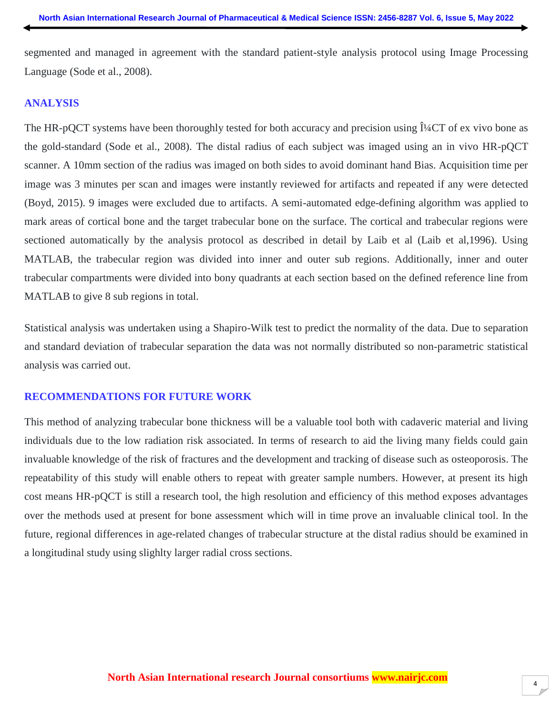segmented and managed in agreement with the standard patient-style analysis protocol using Image Processing Language (Sode et al., 2008).

#### **ANALYSIS**

The HR-pQCT systems have been thoroughly tested for both accuracy and precision using  $\hat{I}/4CT$  of ex vivo bone as the gold-standard (Sode et al., 2008). The distal radius of each subject was imaged using an in vivo HR-pQCT scanner. A 10mm section of the radius was imaged on both sides to avoid dominant hand Bias. Acquisition time per image was 3 minutes per scan and images were instantly reviewed for artifacts and repeated if any were detected (Boyd, 2015). 9 images were excluded due to artifacts. A semi-automated edge-defining algorithm was applied to mark areas of cortical bone and the target trabecular bone on the surface. The cortical and trabecular regions were sectioned automatically by the analysis protocol as described in detail by Laib et al (Laib et al,1996). Using MATLAB, the trabecular region was divided into inner and outer sub regions. Additionally, inner and outer trabecular compartments were divided into bony quadrants at each section based on the defined reference line from MATLAB to give 8 sub regions in total.

Statistical analysis was undertaken using a Shapiro-Wilk test to predict the normality of the data. Due to separation and standard deviation of trabecular separation the data was not normally distributed so non-parametric statistical analysis was carried out.

#### **RECOMMENDATIONS FOR FUTURE WORK**

This method of analyzing trabecular bone thickness will be a valuable tool both with cadaveric material and living individuals due to the low radiation risk associated. In terms of research to aid the living many fields could gain invaluable knowledge of the risk of fractures and the development and tracking of disease such as osteoporosis. The repeatability of this study will enable others to repeat with greater sample numbers. However, at present its high cost means HR-pQCT is still a research tool, the high resolution and efficiency of this method exposes advantages over the methods used at present for bone assessment which will in time prove an invaluable clinical tool. In the future, regional differences in age-related changes of trabecular structure at the distal radius should be examined in a longitudinal study using slighlty larger radial cross sections.